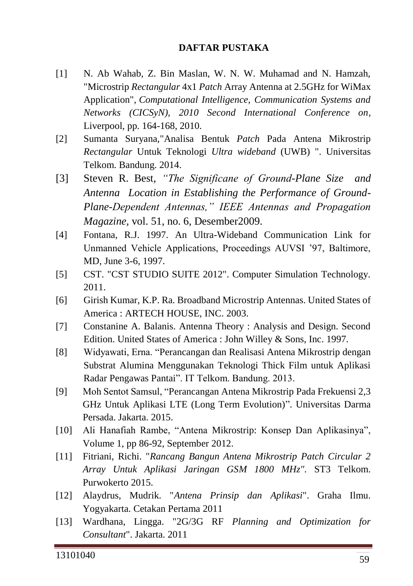## **DAFTAR PUSTAKA**

- [1] N. Ab Wahab, Z. Bin Maslan, W. N. W. Muhamad and N. Hamzah, "Microstrip *Rectangular* 4x1 *Patch* Array Antenna at 2.5GHz for WiMax Application", *Computational Intelligence, Communication Systems and Networks (CICSyN), 2010 Second International Conference on*, Liverpool, pp. 164-168, 2010.
- [2] Sumanta Suryana,"Analisa Bentuk *Patch* Pada Antena Mikrostrip *Rectangular* Untuk Teknologi *Ultra wideband* (UWB) ". Universitas Telkom. Bandung. 2014.
- [3] Steven R. Best, *"The Significane of Ground-Plane Size and Antenna Location in Establishing the Performance of Ground-Plane-Dependent Antennas," IEEE Antennas and Propagation Magazine,* vol. 51, no. 6, Desember2009.
- [4] Fontana, R.J. 1997. An Ultra-Wideband Communication Link for Unmanned Vehicle Applications, Proceedings AUVSI '97, Baltimore, MD, June 3-6, 1997.
- [5] CST. "CST STUDIO SUITE 2012". Computer Simulation Technology. 2011.
- [6] Girish Kumar, K.P. Ra. Broadband Microstrip Antennas. United States of America : ARTECH HOUSE, INC. 2003.
- [7] Constanine A. Balanis. Antenna Theory : Analysis and Design. Second Edition. United States of America : John Willey & Sons, Inc. 1997.
- [8] Widyawati, Erna. "Perancangan dan Realisasi Antena Mikrostrip dengan Substrat Alumina Menggunakan Teknologi Thick Film untuk Aplikasi Radar Pengawas Pantai". IT Telkom. Bandung. 2013.
- [9] Moh Sentot Samsul, "Perancangan Antena Mikrostrip Pada Frekuensi 2,3 GHz Untuk Aplikasi LTE (Long Term Evolution)". Universitas Darma Persada. Jakarta. 2015.
- [10] Ali Hanafiah Rambe, "Antena Mikrostrip: Konsep Dan Aplikasinya", Volume 1, pp 86-92, September 2012.
- [11] Fitriani, Richi. "*Rancang Bangun Antena Mikrostrip Patch Circular 2 Array Untuk Aplikasi Jaringan GSM 1800 MHz".* ST3 Telkom. Purwokerto 2015.
- [12] Alaydrus, Mudrik. "*Antena Prinsip dan Aplikasi*". Graha Ilmu. Yogyakarta. Cetakan Pertama 2011
- [13] Wardhana, Lingga. "2G/3G RF *Planning and Optimization for Consultant*". Jakarta. 2011